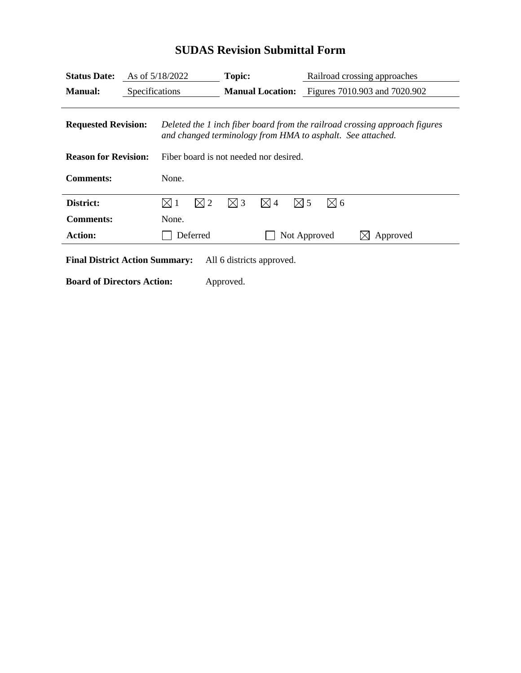| <b>Status Date:</b>         | As of $5/18/2022$ |                                                                                                                                          | Topic:<br><b>Manual Location:</b> |               |               | Railroad crossing approaches<br>Figures 7010.903 and 7020.902 |               |          |
|-----------------------------|-------------------|------------------------------------------------------------------------------------------------------------------------------------------|-----------------------------------|---------------|---------------|---------------------------------------------------------------|---------------|----------|
| <b>Manual:</b>              |                   | Specifications                                                                                                                           |                                   |               |               |                                                               |               |          |
| <b>Requested Revision:</b>  |                   | Deleted the 1 inch fiber board from the railroad crossing approach figures<br>and changed terminology from HMA to asphalt. See attached. |                                   |               |               |                                                               |               |          |
| <b>Reason for Revision:</b> |                   | Fiber board is not needed nor desired.                                                                                                   |                                   |               |               |                                                               |               |          |
| <b>Comments:</b>            |                   | None.                                                                                                                                    |                                   |               |               |                                                               |               |          |
| District:                   |                   | $\boxtimes$ 1                                                                                                                            | $\boxtimes$ 2                     | $\boxtimes$ 3 | $\boxtimes$ 4 | $\boxtimes$ 5                                                 | $\boxtimes$ 6 |          |
| <b>Comments:</b>            |                   | None.                                                                                                                                    |                                   |               |               |                                                               |               |          |
|                             | <b>Action:</b>    |                                                                                                                                          | Deferred                          |               |               | Not Approved                                                  |               | Approved |

## **SUDAS Revision Submittal Form**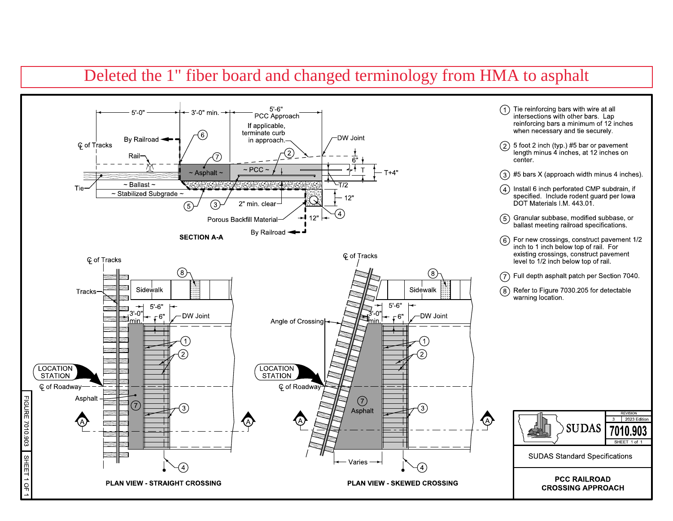## Deleted the 1" fiber board and changed terminology from HMA to asphalt